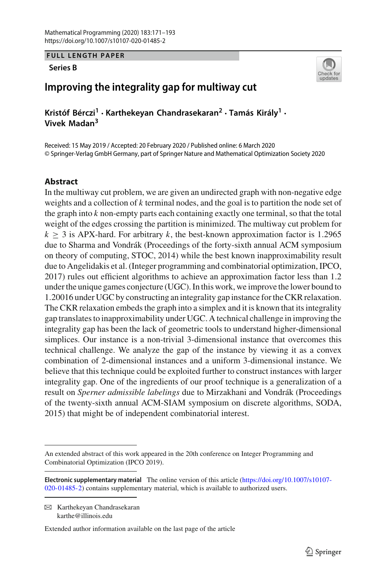**FULL LENGTH PAPER**

#### **Series B**



# **Improving the integrality gap for multiway cut**

**Kristóf Bérczi<sup>1</sup> · Karthekeyan Chandrasekaran<sup>2</sup> · Tamás Király1 · Vivek Madan3**

Received: 15 May 2019 / Accepted: 20 February 2020 / Published online: 6 March 2020 © Springer-Verlag GmbH Germany, part of Springer Nature and Mathematical Optimization Society 2020

# **Abstract**

In the multiway cut problem, we are given an undirected graph with non-negative edge weights and a collection of *k* terminal nodes, and the goal is to partition the node set of the graph into *k* non-empty parts each containing exactly one terminal, so that the total weight of the edges crossing the partition is minimized. The multiway cut problem for  $k \geq 3$  is APX-hard. For arbitrary *k*, the best-known approximation factor is 1.2965 due to Sharma and Vondrák (Proceedings of the forty-sixth annual ACM symposium on theory of computing, STOC, 2014) while the best known inapproximability result due to Angelidakis et al. (Integer programming and combinatorial optimization, IPCO, 2017) rules out efficient algorithms to achieve an approximation factor less than 1.2 under the unique games conjecture (UGC). In this work, we improve the lower bound to 1.20016 under UGC by constructing an integrality gap instance for the CKR relaxation. The CKR relaxation embeds the graph into a simplex and it is known that its integrality gap translates to inapproximability under UGC. A technical challenge in improving the integrality gap has been the lack of geometric tools to understand higher-dimensional simplices. Our instance is a non-trivial 3-dimensional instance that overcomes this technical challenge. We analyze the gap of the instance by viewing it as a convex combination of 2-dimensional instances and a uniform 3-dimensional instance. We believe that this technique could be exploited further to construct instances with larger integrality gap. One of the ingredients of our proof technique is a generalization of a result on *Sperner admissible labelings* due to Mirzakhani and Vondrák (Proceedings of the twenty-sixth annual ACM-SIAM symposium on discrete algorithms, SODA, 2015) that might be of independent combinatorial interest.

 $\boxtimes$  Karthekeyan Chandrasekaran karthe@illinois.edu

Extended author information available on the last page of the article

An extended abstract of this work appeared in the 20th conference on Integer Programming and Combinatorial Optimization (IPCO 2019).

**Electronic supplementary material** The online version of this article [\(https://doi.org/10.1007/s10107-](https://doi.org/10.1007/s10107-020-01485-2) [020-01485-2\)](https://doi.org/10.1007/s10107-020-01485-2) contains supplementary material, which is available to authorized users.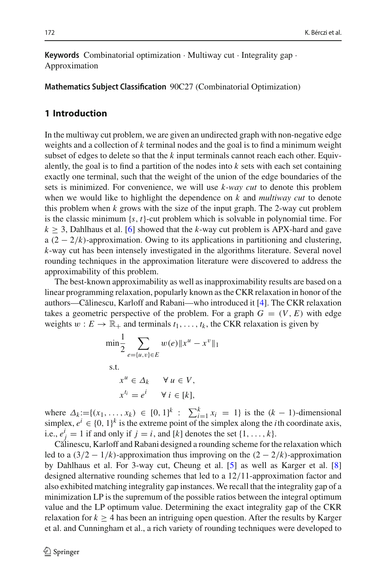**Keywords** Combinatorial optimization · Multiway cut · Integrality gap · Approximation

**Mathematics Subject Classification** 90C27 (Combinatorial Optimization)

### **1 Introduction**

In the multiway cut problem, we are given an undirected graph with non-negative edge weights and a collection of *k* terminal nodes and the goal is to find a minimum weight subset of edges to delete so that the *k* input terminals cannot reach each other. Equivalently, the goal is to find a partition of the nodes into *k* sets with each set containing exactly one terminal, such that the weight of the union of the edge boundaries of the sets is minimized. For convenience, we will use *k-way cut* to denote this problem when we would like to highlight the dependence on *k* and *multiway cut* to denote this problem when *k* grows with the size of the input graph. The 2-way cut problem is the classic minimum  $\{s, t\}$ -cut problem which is solvable in polynomial time. For  $k \geq 3$ , Dahlhaus et al. [\[6](#page-22-0)] showed that the *k*-way cut problem is APX-hard and gave a  $(2 - 2/k)$ -approximation. Owing to its applications in partitioning and clustering, *k*-way cut has been intensely investigated in the algorithms literature. Several novel rounding techniques in the approximation literature were discovered to address the approximability of this problem.

The best-known approximability as well as inapproximability results are based on a linear programming relaxation, popularly known as the CKR relaxation in honor of the authors—C˘alinescu, Karloff and Rabani—who introduced it [\[4\]](#page-22-1). The CKR relaxation takes a geometric perspective of the problem. For a graph  $G = (V, E)$  with edge weights  $w : E \to \mathbb{R}_+$  and terminals  $t_1, \ldots, t_k$ , the CKR relaxation is given by

$$
\min \frac{1}{2} \sum_{e=\{u,v\} \in E} w(e) \|x^u - x^v\|_1
$$
  
s.t.  

$$
x^u \in \Delta_k \quad \forall u \in V,
$$

$$
x^{t_i} = e^i \quad \forall i \in [k],
$$

where  $\Delta_k := \{(x_1, \ldots, x_k) \in [0, 1]^k : \sum_{i=1}^k x_i = 1\}$  is the  $(k - 1)$ -dimensional simplex,  $e^i \in \{0, 1\}^k$  is the extreme point of the simplex along the *i*th coordinate axis, i.e.,  $e^i_j = 1$  if and only if  $j = i$ , and  $[k]$  denotes the set  $\{1, \ldots, k\}$ .

Călinescu, Karloff and Rabani designed a rounding scheme for the relaxation which led to a  $(3/2 - 1/k)$ -approximation thus improving on the  $(2 - 2/k)$ -approximation by Dahlhaus et al. For 3-way cut, Cheung et al. [\[5\]](#page-22-2) as well as Karger et al. [\[8\]](#page-22-3) designed alternative rounding schemes that led to a 12/11-approximation factor and also exhibited matching integrality gap instances. We recall that the integrality gap of a minimization LP is the supremum of the possible ratios between the integral optimum value and the LP optimum value. Determining the exact integrality gap of the CKR relaxation for  $k \geq 4$  has been an intriguing open question. After the results by Karger et al. and Cunningham et al., a rich variety of rounding techniques were developed to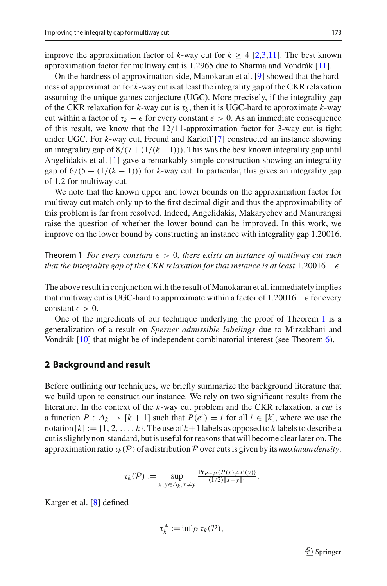improve the approximation factor of  $k$ -way cut for  $k \geq 4$  [\[2](#page-22-4)[,3](#page-22-5)[,11\]](#page-22-6). The best known approximation factor for multiway cut is 1.2965 due to Sharma and Vondrák [\[11](#page-22-6)].

On the hardness of approximation side, Manokaran et al. [\[9](#page-22-7)] showed that the hardness of approximation for *k*-way cut is at least the integrality gap of the CKR relaxation assuming the unique games conjecture (UGC). More precisely, if the integrality gap of the CKR relaxation for  $k$ -way cut is  $\tau_k$ , then it is UGC-hard to approximate  $k$ -way cut within a factor of  $\tau_k - \epsilon$  for every constant  $\epsilon > 0$ . As an immediate consequence of this result, we know that the  $12/11$ -approximation factor for 3-way cut is tight under UGC. For *k*-way cut, Freund and Karloff [\[7](#page-22-8)] constructed an instance showing an integrality gap of  $8/(7+(1/(k-1)))$ . This was the best known integrality gap until Angelidakis et al. [\[1](#page-22-9)] gave a remarkably simple construction showing an integrality gap of  $6/(5 + (1/(k-1)))$  for *k*-way cut. In particular, this gives an integrality gap of 1.2 for multiway cut.

We note that the known upper and lower bounds on the approximation factor for multiway cut match only up to the first decimal digit and thus the approximability of this problem is far from resolved. Indeed, Angelidakis, Makarychev and Manurangsi raise the question of whether the lower bound can be improved. In this work, we improve on the lower bound by constructing an instance with integrality gap 1.20016.

<span id="page-2-0"></span>**Theorem 1** *For every constant*  $\epsilon > 0$ *, there exists an instance of multiway cut such that the integrality gap of the CKR relaxation for that instance is at least*  $1.20016$  –  $\epsilon$ .

The above result in conjunction with the result of Manokaran et al. immediately implies that multiway cut is UGC-hard to approximate within a factor of  $1.20016 - \epsilon$  for every constant  $\epsilon > 0$ .

One of the ingredients of our technique underlying the proof of Theorem [1](#page-2-0) is a generalization of a result on *Sperner admissible labelings* due to Mirzakhani and Vondrák [\[10](#page-22-10)] that might be of independent combinatorial interest (see Theorem [6\)](#page-12-0).

### **2 Background and result**

Before outlining our techniques, we briefly summarize the background literature that we build upon to construct our instance. We rely on two significant results from the literature. In the context of the *k*-way cut problem and the CKR relaxation, a *cut* is a function  $P: \Delta_k \to [k+1]$  such that  $P(e^i) = i$  for all  $i \in [k]$ , where we use the notation  $[k] := \{1, 2, \ldots, k\}$ . The use of  $k+1$  labels as opposed to k labels to describe a cut is slightly non-standard, but is useful for reasons that will become clear later on. The approximation ratio  $\tau_k(\mathcal{P})$  of a distribution  $\mathcal P$  over cuts is given by its *maximum density*:

$$
\tau_k(\mathcal{P}) := \sup_{x, y \in \Delta_k, x \neq y} \frac{\Pr_{P \sim \mathcal{P}}(P(x) \neq P(y))}{(1/2) \|x - y\|_1}.
$$

Karger et al. [\[8\]](#page-22-3) defined

$$
\tau_k^* := \inf_{\mathcal{P}} \tau_k(\mathcal{P}),
$$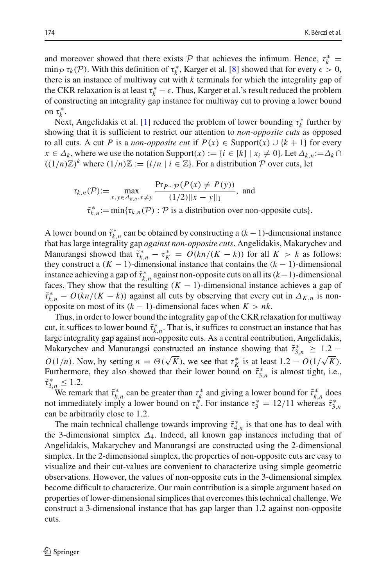and moreover showed that there exists  $P$  that achieves the infimum. Hence,  $\tau_k^* =$ min $\mathcal{P} \tau_k(\mathcal{P})$ . With this definition of  $\tau_k^*$ , Karger et al. [\[8\]](#page-22-3) showed that for every  $\epsilon > 0$ , there is an instance of multiway cut with *k* terminals for which the integrality gap of the CKR relaxation is at least  $\tau_k^* - \epsilon$ . Thus, Karger et al.'s result reduced the problem of constructing an integrality gap instance for multiway cut to proving a lower bound on  $\tau_k^*$ .

Next, Angelidakis et al. [\[1\]](#page-22-9) reduced the problem of lower bounding  $\tau_k^*$  further by showing that it is sufficient to restrict our attention to *non-opposite cuts* as opposed to all cuts. A cut *P* is a *non-opposite cut* if  $P(x) \in$  Support $(x) \cup \{k+1\}$  for every  $x \in \Delta_k$ , where we use the notation Support $(x) := \{i \in [k] \mid x_i \neq 0\}$ . Let  $\Delta_{k,n} := \Delta_k \cap$  $((1/n)\mathbb{Z})^k$  where  $(1/n)\mathbb{Z} := \{i/n \mid i \in \mathbb{Z}\}\$ . For a distribution P over cuts, let

$$
\tau_{k,n}(\mathcal{P}) := \max_{x,y \in \Delta_{k,n}, x \neq y} \frac{\Pr_{P \sim \mathcal{P}}(P(x) \neq P(y))}{(1/2) \|x - y\|_1}, \text{ and}
$$
  

$$
\tilde{\tau}_{k,n}^* := \min \{ \tau_{k,n}(\mathcal{P}) : \mathcal{P} \text{ is a distribution over non-opposite cuts} \}.
$$

A lower bound on  $\tilde{\tau}_{k,n}^*$  can be obtained by constructing a  $(k-1)$ -dimensional instance that has large integrality gap *against non-opposite cuts*. Angelidakis, Makarychev and Manurangsi showed that  $\tilde{\tau}_{k,n}^* - \tau_K^* = O(kn/(K-k))$  for all  $K > k$  as follows: they construct a  $(K - 1)$ -dimensional instance that contains the  $(k - 1)$ -dimensional instance achieving a gap of  $\tilde{\tau}^*_{k,n}$  against non-opposite cuts on all its (*k* − 1)-dimensional faces. They show that the resulting  $(K - 1)$ -dimensional instance achieves a gap of  $\tilde{\tau}_{k,n}^* - O(kn/(K - k))$  against all cuts by observing that every cut in  $\Delta_{K,n}$  is nonopposite on most of its (*k* − 1)-dimensional faces when *K* > *nk*.

Thus, in order to lower bound the integrality gap of the CKR relaxation for multiway cut, it suffices to lower bound  $\tilde{\tau}^*_{k,n}$ . That is, it suffices to construct an instance that has large integrality gap against non-opposite cuts. As a central contribution, Angelidakis, Makarychev and Manurangsi constructed an instance showing that  $\tilde{\tau}_{3,n}^* \geq 1.2 - 1$ *O*(1/*n*). Now, by setting  $n = \Theta(\sqrt{K})$ , we see that  $\tau_K^*$  is at least  $1.2 - O(1/\sqrt{K})$ . Furthermore, they also showed that their lower bound on  $\tilde{\tau}_{3,n}^*$  is almost tight, i.e.,  $\tilde{\tau}_{3,n}^* \leq 1.2.$ 

We remark that  $\tilde{\tau}_{k,n}^*$  can be greater than  $\tau_k^*$  and giving a lower bound for  $\tilde{\tau}_{k,n}^*$  does not immediately imply a lower bound on  $\tau_k^*$ . For instance  $\tau_3^* = 12/11$  whereas  $\tilde{\tau}_{3,n}^*$ can be arbitrarily close to 1.2.

<span id="page-3-0"></span>The main technical challenge towards improving  $\tilde{\tau}_{4,n}^*$  is that one has to deal with the 3-dimensional simplex  $\Delta_4$ . Indeed, all known gap instances including that of Angelidakis, Makarychev and Manurangsi are constructed using the 2-dimensional simplex. In the 2-dimensional simplex, the properties of non-opposite cuts are easy to visualize and their cut-values are convenient to characterize using simple geometric observations. However, the values of non-opposite cuts in the 3-dimensional simplex become difficult to characterize. Our main contribution is a simple argument based on properties of lower-dimensional simplices that overcomes this technical challenge. We construct a 3-dimensional instance that has gap larger than 1.2 against non-opposite cuts.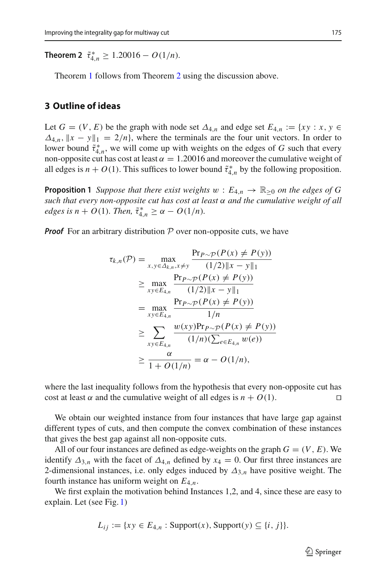**Theorem 2**  $\tilde{\tau}_{4,n}^* \ge 1.20016 - O(1/n)$ .

Theorem [1](#page-2-0) follows from Theorem [2](#page-3-0) using the discussion above.

### **3 Outline of ideas**

Let  $G = (V, E)$  be the graph with node set  $\Delta_{4,n}$  and edge set  $E_{4,n} := \{ xy : x, y \in$  $\Delta_{4,n}$ ,  $\|x - y\|_1 = 2/n$ , where the terminals are the four unit vectors. In order to lower bound  $\tilde{\tau}_{4,n}^*$ , we will come up with weights on the edges of *G* such that every non-opposite cut has cost at least  $\alpha = 1.20016$  and moreover the cumulative weight of all edges is  $n + O(1)$ . This suffices to lower bound  $\tilde{\tau}_{4,n}^*$  by the following proposition.

<span id="page-4-0"></span>**Proposition 1** *Suppose that there exist weights*  $w : E_{4,n} \to \mathbb{R}_{\geq 0}$  *on the edges of G such that every non-opposite cut has cost at least* α *and the cumulative weight of all*  $\epsilon$ *dges is n* + *O*(1)*. Then,*  $\tilde{\tau}^*_{4,n} \geq \alpha - O(1/n)$ *.* 

*Proof* For an arbitrary distribution  $P$  over non-opposite cuts, we have

$$
\tau_{k,n}(\mathcal{P}) = \max_{x,y \in \Delta_{k,n}, x \neq y} \frac{\Pr_{P \sim \mathcal{P}}(P(x) \neq P(y))}{(1/2)\|x - y\|_1}
$$
  
\n
$$
\geq \max_{xy \in E_{4,n}} \frac{\Pr_{P \sim \mathcal{P}}(P(x) \neq P(y))}{(1/2)\|x - y\|_1}
$$
  
\n
$$
= \max_{xy \in E_{4,n}} \frac{\Pr_{P \sim \mathcal{P}}(P(x) \neq P(y))}{1/n}
$$
  
\n
$$
\geq \sum_{xy \in E_{4,n}} \frac{w(xy)\Pr_{P \sim \mathcal{P}}(P(x) \neq P(y))}{(1/n)(\sum_{e \in E_{4,n}} w(e))}
$$
  
\n
$$
\geq \frac{\alpha}{1 + O(1/n)} = \alpha - O(1/n),
$$

where the last inequality follows from the hypothesis that every non-opposite cut has cost at least  $\alpha$  and the cumulative weight of all edges is  $n + O(1)$ .

We obtain our weighted instance from four instances that have large gap against different types of cuts, and then compute the convex combination of these instances that gives the best gap against all non-opposite cuts.

All of our four instances are defined as edge-weights on the graph  $G = (V, E)$ . We identify  $\Delta_{3,n}$  with the facet of  $\Delta_{4,n}$  defined by  $x_4 = 0$ . Our first three instances are 2-dimensional instances, i.e. only edges induced by  $\Delta_{3,n}$  have positive weight. The fourth instance has uniform weight on *E*4,*n*.

We first explain the motivation behind Instances 1,2, and 4, since these are easy to explain. Let (see Fig. [1\)](#page-5-0)

$$
L_{ij} := \{ xy \in E_{4,n} : \text{Support}(x), \text{Support}(y) \subseteq \{i, j\} \}.
$$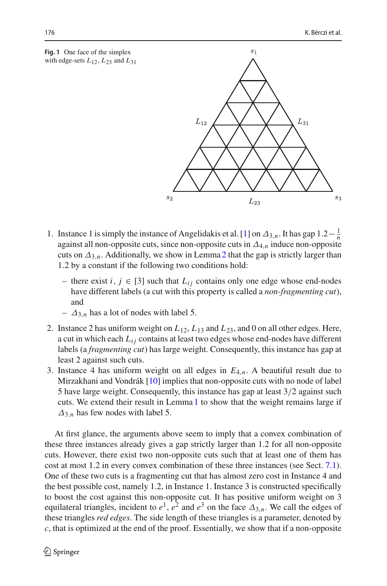<span id="page-5-0"></span>**Fig. 1** One face of the simplex with edge-sets  $L_{12}$ ,  $L_{23}$  and  $L_{31}$ 



- 1. Instance 1 is simply the instance of Angelidakis et al. [\[1](#page-22-9)] on  $\Delta_{3,n}$ . It has gap  $1.2-\frac{1}{n}$ against all non-opposite cuts, since non-opposite cuts in  $\Delta_{4,n}$  induce non-opposite cuts on  $\Delta_{3,n}$ . Additionally, we show in Lemma [2](#page-8-0) that the gap is strictly larger than 1.2 by a constant if the following two conditions hold:
	- there exist *i*, *j* ∈ [3] such that  $L_{ij}$  contains only one edge whose end-nodes have different labels (a cut with this property is called a *non-fragmenting cut*), and
	- $\Delta_{3,n}$  has a lot of nodes with label 5.
- 2. Instance 2 has uniform weight on *L*12, *L*<sup>13</sup> and *L*23, and 0 on all other edges. Here, a cut in which each  $L_{ij}$  contains at least two edges whose end-nodes have different labels (a *fragmenting cut*) has large weight. Consequently, this instance has gap at least 2 against such cuts.
- 3. Instance 4 has uniform weight on all edges in  $E_{4,n}$ . A beautiful result due to Mirzakhani and Vondrák [\[10](#page-22-10)] implies that non-opposite cuts with no node of label 5 have large weight. Consequently, this instance has gap at least 3/2 against such cuts. We extend their result in Lemma [1](#page-8-1) to show that the weight remains large if  $\Delta_{3,n}$  has few nodes with label 5.

At first glance, the arguments above seem to imply that a convex combination of these three instances already gives a gap strictly larger than 1.2 for all non-opposite cuts. However, there exist two non-opposite cuts such that at least one of them has cost at most 1.2 in every convex combination of these three instances (see Sect. [7.1\)](#page-18-0). One of these two cuts is a fragmenting cut that has almost zero cost in Instance 4 and the best possible cost, namely 1.2, in Instance 1. Instance 3 is constructed specifically to boost the cost against this non-opposite cut. It has positive uniform weight on 3 equilateral triangles, incident to  $e^1$ ,  $e^2$  and  $e^3$  on the face  $\Delta_{3,n}$ . We call the edges of these triangles *red edges*. The side length of these triangles is a parameter, denoted by *c*, that is optimized at the end of the proof. Essentially, we show that if a non-opposite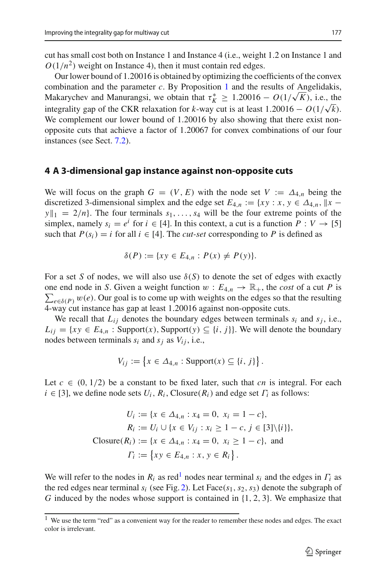cut has small cost both on Instance 1 and Instance 4 (i.e., weight 1.2 on Instance 1 and  $O(1/n^2)$  weight on Instance 4), then it must contain red edges.

Our lower bound of 1.20016 is obtained by optimizing the coefficients of the convex combination and the parameter *c*. By Proposition [1](#page-4-0) and the results of Angelidakis, Makarychev and Manurangsi, we obtain that  $\tau_K^* \geq 1.20016 - O(1/\sqrt{K})$ , i.e., the integrality gap of the CKR relaxation for *k*-way cut is at least 1.20016 –  $O(1/\sqrt{k})$ . We complement our lower bound of 1.20016 by also showing that there exist nonopposite cuts that achieve a factor of 1.20067 for convex combinations of our four instances (see Sect. [7.2\)](#page-19-0).

### **4 A 3-dimensional gap instance against non-opposite cuts**

We will focus on the graph  $G = (V, E)$  with the node set  $V := \Delta_{4,n}$  being the discretized 3-dimensional simplex and the edge set  $E_{4,n} := \{xy : x, y \in \Delta_{4,n}, ||x - y||\}$  $y\|_1 = 2/n$ . The four terminals  $s_1, \ldots, s_4$  will be the four extreme points of the simplex, namely  $s_i = e^i$  for  $i \in [4]$ . In this context, a cut is a function  $P: V \to [5]$ such that  $P(s_i) = i$  for all  $i \in [4]$ . The *cut-set* corresponding to *P* is defined as

$$
\delta(P) := \{ xy \in E_{4,n} : P(x) \neq P(y) \}.
$$

For a set *S* of nodes, we will also use  $\delta(S)$  to denote the set of edges with exactly one end node in *S*. Given a weight function  $w : E_{4,n} \to \mathbb{R}_+$ , the *cost* of a cut *P* is  $\sum_{e \in \delta(P)} w(e)$ . Our goal is to come up with weights on the edges so that the resulting 4-way cut instance has gap at least 1.20016 against non-opposite cuts.

We recall that  $L_{ij}$  denotes the boundary edges between terminals  $s_i$  and  $s_j$ , i.e.,  $L_{ij} = \{ xy \in E_{4,n} : \text{Support}(x), \text{Support}(y) \subseteq \{i, j\} \}.$  We will denote the boundary nodes between terminals  $s_i$  and  $s_j$  as  $V_{ij}$ , i.e.,

$$
V_{ij} := \{ x \in \Delta_{4,n} : \text{Support}(x) \subseteq \{i, j\} \}.
$$

Let  $c \in (0, 1/2)$  be a constant to be fixed later, such that *cn* is integral. For each  $i \in [3]$ , we define node sets  $U_i$ ,  $R_i$ , Closure( $R_i$ ) and edge set  $\Gamma_i$  as follows:

$$
U_i := \{x \in \Delta_{4,n} : x_4 = 0, \ x_i = 1 - c\},
$$
  
\n
$$
R_i := U_i \cup \{x \in V_{ij} : x_i \ge 1 - c, \ j \in [3] \setminus \{i\}\},
$$
  
\n
$$
\text{Closure}(R_i) := \{x \in \Delta_{4,n} : x_4 = 0, \ x_i \ge 1 - c\}, \text{ and}
$$
  
\n
$$
\Gamma_i := \{xy \in E_{4,n} : x, y \in R_i\}.
$$

We will refer to the nodes in  $R_i$  as red<sup>1</sup> nodes near terminal  $s_i$  and the edges in  $\Gamma_i$  as the red edges near terminal  $s_i$  (see Fig. [2\)](#page-7-0). Let Face( $s_1$ ,  $s_2$ ,  $s_3$ ) denote the subgraph of *G* induced by the nodes whose support is contained in  $\{1, 2, 3\}$ . We emphasize that

<span id="page-6-0"></span> $1$  We use the term "red" as a convenient way for the reader to remember these nodes and edges. The exact color is irrelevant.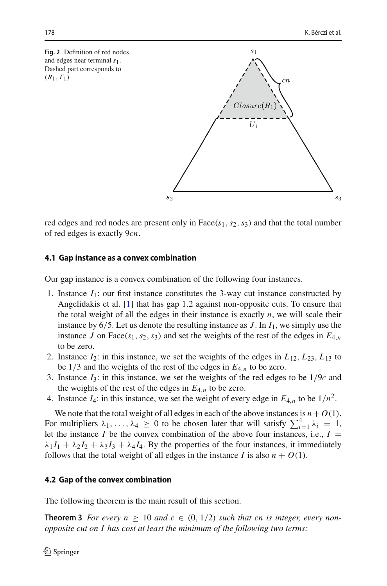<span id="page-7-0"></span>**Fig. 2** Definition of red nodes and edges near terminal *s*1. Dashed part corresponds to  $(R_1, \Gamma_1)$ 



red edges and red nodes are present only in Face( $s<sub>1</sub>, s<sub>2</sub>, s<sub>3</sub>$ ) and that the total number of red edges is exactly 9*cn*.

#### **4.1 Gap instance as a convex combination**

Our gap instance is a convex combination of the following four instances.

- 1. Instance  $I_1$ : our first instance constitutes the 3-way cut instance constructed by Angelidakis et al. [\[1](#page-22-9)] that has gap 1.2 against non-opposite cuts. To ensure that the total weight of all the edges in their instance is exactly  $n$ , we will scale their instance by 6/5. Let us denote the resulting instance as *J* . In *I*1, we simply use the instance *J* on Face( $s_1$ ,  $s_2$ ,  $s_3$ ) and set the weights of the rest of the edges in  $E_{4,n}$ to be zero.
- 2. Instance  $I_2$ : in this instance, we set the weights of the edges in  $L_{12}$ ,  $L_{23}$ ,  $L_{13}$  to be  $1/3$  and the weights of the rest of the edges in  $E_{4,n}$  to be zero.
- 3. Instance *I*3: in this instance, we set the weights of the red edges to be 1/9*c* and the weights of the rest of the edges in  $E_{4,n}$  to be zero.
- 4. Instance  $I_4$ : in this instance, we set the weight of every edge in  $E_{4,n}$  to be  $1/n^2$ .

We note that the total weight of all edges in each of the above instances is  $n + O(1)$ . For multipliers  $\lambda_1, \ldots, \lambda_4 \geq 0$  to be chosen later that will satisfy  $\sum_{i=1}^4 \lambda_i = 1$ , let the instance *I* be the convex combination of the above four instances, i.e.,  $I =$  $\lambda_1 I_1 + \lambda_2 I_2 + \lambda_3 I_3 + \lambda_4 I_4$ . By the properties of the four instances, it immediately follows that the total weight of all edges in the instance *I* is also  $n + O(1)$ .

### **4.2 Gap of the convex combination**

<span id="page-7-1"></span>The following theorem is the main result of this section.

**Theorem 3** *For every*  $n \geq 10$  *and*  $c \in (0, 1/2)$  *such that cn is integer, every nonopposite cut on I has cost at least the minimum of the following two terms:*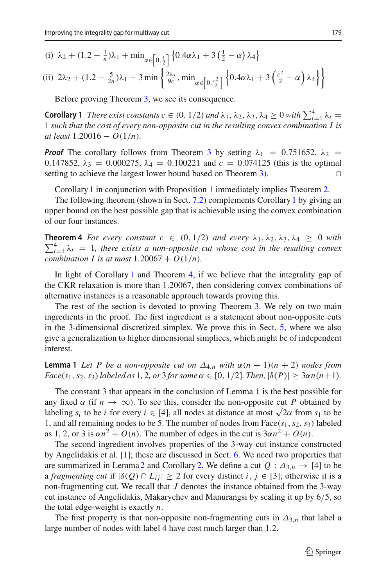(i) 
$$
\lambda_2 + (1.2 - \frac{1}{n})\lambda_1 + \min_{\alpha \in [0, \frac{1}{2}]} \{0.4\alpha\lambda_1 + 3(\frac{1}{2} - \alpha)\lambda_4\}
$$

(ii) 
$$
2\lambda_2 + (1.2 - \frac{5}{2n})\lambda_1 + 3 \min \left\{ \frac{2\lambda_3}{9c}, \min_{\alpha \in \left[0, \frac{c^2}{2}\right]} \left\{ 0.4\alpha\lambda_1 + 3\left(\frac{c^2}{2} - \alpha\right)\lambda_4 \right\} \right\}
$$

<span id="page-8-2"></span>Before proving Theorem [3,](#page-7-1) we see its consequence.

**Corollary 1** *There exist constants c*  $\in (0, 1/2)$  *and*  $\lambda_1, \lambda_2, \lambda_3, \lambda_4 \ge 0$  *with*  $\sum_{i=1}^4 \lambda_i = \frac{1}{2}$ 1 *such that the cost of every non-opposite cut in the resulting convex combination I is at least* 1.20016 − *O*(1/*n*)*.*

*Proof* The corollary follows from Theorem [3](#page-7-1) by setting  $\lambda_1 = 0.751652$ ,  $\lambda_2 =$ 0.147852,  $\lambda_3 = 0.000275$ ,  $\lambda_4 = 0.100221$  and  $c = 0.074125$  (this is the optimal setting to achieve the largest lower bound based on Theorem 3). setting to achieve the largest lower bound based on Theorem [3\)](#page-7-1).

Corollary [1](#page-8-2) in conjunction with Proposition [1](#page-4-0) immediately implies Theorem [2.](#page-3-0)

The following theorem (shown in Sect. [7.2\)](#page-19-0) complements Corollary [1](#page-8-2) by giving an upper bound on the best possible gap that is achievable using the convex combination of our four instances.

<span id="page-8-3"></span> $\sum_{i=1}^{4} \lambda_i = 1$ , there exists a non-opposite cut whose cost in the resulting convex **Theorem 4** *For every constant*  $c \in (0, 1/2)$  *and every*  $\lambda_1, \lambda_2, \lambda_3, \lambda_4 \ge 0$  *with combination I is at most*  $1.20067 + O(1/n)$ .

In light of Corollary [1](#page-8-2) and Theorem [4,](#page-8-3) if we believe that the integrality gap of the CKR relaxation is more than 1.20067, then considering convex combinations of alternative instances is a reasonable approach towards proving this.

The rest of the section is devoted to proving Theorem [3.](#page-7-1) We rely on two main ingredients in the proof. The first ingredient is a statement about non-opposite cuts in the 3-dimensional discretized simplex. We prove this in Sect. [5,](#page-12-1) where we also give a generalization to higher dimensional simplices, which might be of independent interest.

<span id="page-8-1"></span>**Lemma 1** Let P be a non-opposite cut on  $\Delta_{4,n}$  with  $\alpha(n+1)(n+2)$  nodes from *Face*(*s*<sub>1</sub>, *s*<sub>2</sub>, *s*<sub>3</sub>) *labeled as* 1, 2, *or* 3 *for some*  $\alpha \in [0, 1/2]$ *. Then*,  $|\delta(P)| \geq 3\alpha n(n+1)$ *.* 

The constant 3 that appears in the conclusion of Lemma [1](#page-8-1) is the best possible for any fixed  $\alpha$  (if  $n \to \infty$ ). To see this, consider the non-opposite cut *P* obtained by labeling  $s_i$  to be *i* for every  $i \in [4]$ , all nodes at distance at most  $\sqrt{2\alpha}$  from  $s_1$  to be 1, and all remaining nodes to be 5. The number of nodes from  $Face(s_1, s_2, s_3)$  labeled as 1, 2, or 3 is  $\alpha n^2 + O(n)$ . The number of edges in the cut is  $3\alpha n^2 + O(n)$ .

The second ingredient involves properties of the 3-way cut instance constructed by Angelidakis et al. [\[1\]](#page-22-9); these are discussed in Sect. [6.](#page-14-0) We need two properties that are summarized in Lemma [2](#page-8-0) and Corollary [2.](#page-9-0) We define a cut  $Q: \Delta_{3,n} \to [4]$  to be a *fragmenting cut* if  $|\delta(Q) \cap L_{ii}| \geq 2$  for every distinct *i*,  $j \in [3]$ ; otherwise it is a non-fragmenting cut. We recall that *J* denotes the instance obtained from the 3-way cut instance of Angelidakis, Makarychev and Manurangsi by scaling it up by 6/5, so the total edge-weight is exactly *n*.

<span id="page-8-0"></span>The first property is that non-opposite non-fragmenting cuts in  $\Delta_{3,n}$  that label a large number of nodes with label 4 have cost much larger than 1.2.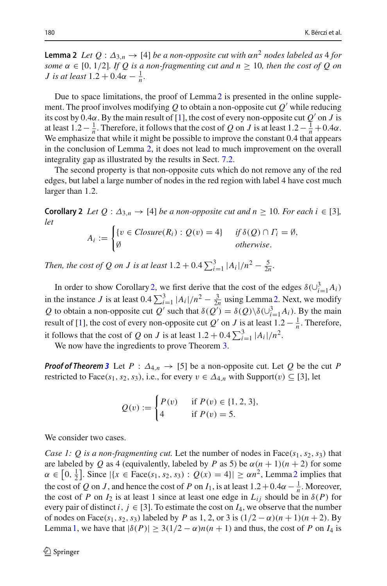**Lemma 2** *Let*  $Q : \Delta_{3,n} \to [4]$  *be a non-opposite cut with*  $\alpha n^2$  *nodes labeled as* 4 *for some*  $\alpha \in [0, 1/2]$ *. If Q is a non-fragmenting cut and*  $n \geq 10$ *, then the cost of Q on J* is at least  $1.2 + 0.4\alpha - \frac{1}{n}$ .

Due to space limitations, the proof of Lemma [2](#page-8-0) is presented in the online supplement. The proof involves modifying  $Q$  to obtain a non-opposite cut  $Q'$  while reducing its cost by 0.4 $\alpha$ . By the main result of [\[1\]](#page-22-9), the cost of every non-opposite cut  $Q'$  on *J* is at least  $1.2 - \frac{1}{n}$ . Therefore, it follows that the cost of *Q* on *J* is at least  $1.2 - \frac{1}{n} + 0.4\alpha$ . We emphasize that while it might be possible to improve the constant 0.4 that appears in the conclusion of Lemma [2,](#page-8-0) it does not lead to much improvement on the overall integrality gap as illustrated by the results in Sect. [7.2.](#page-19-0)

The second property is that non-opposite cuts which do not remove any of the red edges, but label a large number of nodes in the red region with label 4 have cost much larger than 1.2.

<span id="page-9-0"></span>**Corollary 2** *Let*  $Q: \Delta_{3,n} \to [4]$  *be a non-opposite cut and n*  $\geq 10$ *. For each i*  $\in [3]$ *, let*

$$
A_i := \begin{cases} \{v \in Closure(R_i) : Q(v) = 4\} & \text{if } \delta(Q) \cap \Gamma_i = \emptyset, \\ \emptyset & \text{otherwise.} \end{cases}
$$

*Then, the cost of Q on J is at least*  $1.2 + 0.4 \sum_{i=1}^{3} |A_i|/n^2 - \frac{5}{2n}$ .

In order to show Corollary [2,](#page-9-0) we first derive that the cost of the edges  $\delta(\cup_{i=1}^{3} A_i)$ in the instance *J* is at least  $0.4 \sum_{i=1}^{3} |A_i|/n^2 - \frac{3}{2n}$  using Lemma [2.](#page-8-0) Next, we modify *Q* to obtain a non-opposite cut *Q*' such that  $\delta(Q') = \delta(Q) \delta(\bigcup_{i=1}^{3} A_i)$ . By the main result of [\[1\]](#page-22-9), the cost of every non-opposite cut *Q'* on *J* is at least  $1.2 - \frac{1}{n}$ . Therefore, it follows that the cost of *Q* on *J* is at least  $1.2 + 0.4 \sum_{i=1}^{3} |A_i|/n^2$ .

We now have the ingredients to prove Theorem [3.](#page-7-1)

*Proof of Theorem* [3](#page-7-1) Let  $P : \Delta_{4,n} \to [5]$  be a non-opposite cut. Let Q be the cut P restricted to Face( $s_1, s_2, s_3$ ), i.e., for every  $v \in \Delta_{4,n}$  with Support( $v$ )  $\subseteq$  [3], let

$$
Q(v) := \begin{cases} P(v) & \text{if } P(v) \in \{1, 2, 3\}, \\ 4 & \text{if } P(v) = 5. \end{cases}
$$

We consider two cases.

*Case 1: Q is a non-fragmenting cut.* Let the number of nodes in Face( $s_1, s_2, s_3$ ) that are labeled by *Q* as 4 (equivalently, labeled by *P* as 5) be  $\alpha(n + 1)(n + 2)$  for some  $\alpha \in [0, \frac{1}{2}]$  $\alpha \in [0, \frac{1}{2}]$  $\alpha \in [0, \frac{1}{2}]$ . Since  $|\{x \in \text{Face}(s_1, s_2, s_3) : Q(x) = 4\}| \ge \alpha n^2$ , Lemma 2 implies that the cost of *Q* on *J*, and hence the cost of *P* on  $I_1$ , is at least  $1.2 + 0.4\alpha - \frac{1}{n}$ . Moreover, the cost of *P* on  $I_2$  is at least 1 since at least one edge in  $L_{ij}$  should be in  $\delta(P)$  for every pair of distinct *i*,  $j \in [3]$ . To estimate the cost on  $I_4$ , we observe that the number of nodes on Face( $s_1, s_2, s_3$ ) labeled by *P* as 1, 2, or 3 is  $(1/2 - \alpha)(n + 1)(n + 2)$ . By Lemma [1,](#page-8-1) we have that  $|\delta(P)| \geq 3(1/2 - \alpha)n(n + 1)$  and thus, the cost of *P* on *I*<sub>4</sub> is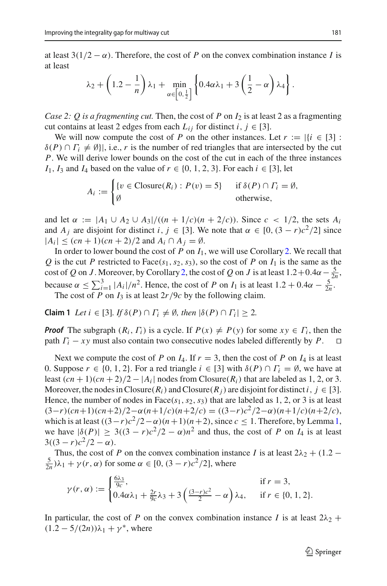at least  $3(1/2 - \alpha)$ . Therefore, the cost of *P* on the convex combination instance *I* is at least

$$
\lambda_2 + \left(1.2 - \frac{1}{n}\right)\lambda_1 + \min_{\alpha \in \left[0, \frac{1}{2}\right]} \left\{0.4\alpha\lambda_1 + 3\left(\frac{1}{2} - \alpha\right)\lambda_4\right\}.
$$

*Case 2: Q is a fragmenting cut.* Then, the cost of *P* on  $I_2$  is at least 2 as a fragmenting cut contains at least 2 edges from each  $L_{ij}$  for distinct  $i, j \in [3]$ .

We will now compute the cost of *P* on the other instances. Let  $r := |\{i \in [3] :$  $\delta(P) \cap \Gamma_i \neq \emptyset$ , i.e., *r* is the number of red triangles that are intersected by the cut *P*. We will derive lower bounds on the cost of the cut in each of the three instances *I*<sub>1</sub>, *I*<sub>3</sub> and *I*<sub>4</sub> based on the value of  $r \in \{0, 1, 2, 3\}$ . For each  $i \in [3]$ , let

$$
A_i := \begin{cases} \{v \in \text{Closure}(R_i) : P(v) = 5\} & \text{if } \delta(P) \cap \Gamma_i = \emptyset, \\ \emptyset & \text{otherwise,} \end{cases}
$$

and let  $\alpha := |A_1 \cup A_2 \cup A_3|/((n + 1/c)(n + 2/c))$ . Since  $c < 1/2$ , the sets  $A_i$ and *A<sub>j</sub>* are disjoint for distinct *i*,  $j \in [3]$ . We note that  $\alpha \in [0, (3 - r)c^2/2]$  since  $|A_i|$  ≤ (*cn* + 1)(*cn* + 2)/2 and  $A_i$  ∩  $A_j = \emptyset$ .

In order to lower bound the cost of  $P$  on  $I_1$ , we will use Corollary [2.](#page-9-0) We recall that *Q* is the cut *P* restricted to Face( $s_1$ ,  $s_2$ ,  $s_3$ ), so the cost of *P* on  $I_1$  is the same as the cost of *Q* on *J*. Moreover, by Corollary [2,](#page-9-0) the cost of *Q* on *J* is at least  $1.2+0.4\alpha-\frac{5}{2n}$ , because  $\alpha$  ≤  $\sum_{i=1}^{3} |A_i|/n^2$ . Hence, the cost of *P* on *I*<sub>1</sub> is at least 1.2 + 0.4α −  $\frac{5}{2n}$ . The cost of *P* on  $I_3$  is at least  $2r/9c$  by the following claim.

**Claim 1** *Let*  $i \in [3]$ *. If*  $\delta(P) \cap \Gamma_i \neq \emptyset$ *, then*  $|\delta(P) \cap \Gamma_i| \geq 2$ *.* 

*Proof* The subgraph  $(R_i, \Gamma_i)$  is a cycle. If  $P(x) \neq P(y)$  for some  $xy \in \Gamma_i$ , then the path  $\Gamma_i - xy$  must also contain two consecutive nodes labeled differently by  $P$ . path  $\Gamma_i - xy$  must also contain two consecutive nodes labeled differently by *P*.

Next we compute the cost of *P* on  $I_4$ . If  $r = 3$ , then the cost of *P* on  $I_4$  is at least 0. Suppose  $r \in \{0, 1, 2\}$ . For a red triangle  $i \in [3]$  with  $\delta(P) \cap \Gamma_i = \emptyset$ , we have at least  $(cn + 1)(cn + 2)/2 - |A_i|$  nodes from Closure( $R_i$ ) that are labeled as 1, 2, or 3. Moreover, the nodes in Closure( $R_i$ ) and Closure( $R_j$ ) are disjoint for distinct *i*,  $j \in [3]$ . Hence, the number of nodes in Face( $s_1$ ,  $s_2$ ,  $s_3$ ) that are labeled as 1, 2, or 3 is at least  $(3-r)(cn+1)(cn+2)/2-\alpha(n+1/c)(n+2/c) = ((3-r)c^2/2-\alpha)(n+1/c)(n+2/c),$ which is at least  $((3-r)c^2/2-\alpha)(n+1)(n+2)$ , since  $c \le 1$ . Therefore, by Lemma [1,](#page-8-1) we have  $|\delta(P)| \geq 3((3 - r)c^2/2 - \alpha)n^2$  and thus, the cost of P on  $I_4$  is at least  $3((3 - r)c^2/2 - \alpha)$ .

Thus, the cost of *P* on the convex combination instance *I* is at least  $2\lambda_2 + (1.2 - 1.5)\lambda_2$  $\frac{5}{2n}$ ) $\lambda_1 + \gamma(r, \alpha)$  for some  $\alpha \in [0, (3 - r)c^2/2]$ , where

$$
\gamma(r,\alpha) := \begin{cases} \frac{6\lambda_3}{9c}, & \text{if } r = 3, \\ 0.4\alpha\lambda_1 + \frac{2r}{9c}\lambda_3 + 3\left(\frac{(3-r)c^2}{2} - \alpha\right)\lambda_4, & \text{if } r \in \{0, 1, 2\}. \end{cases}
$$

In particular, the cost of *P* on the convex combination instance *I* is at least  $2\lambda_2$  +  $(1.2 - 5/(2n))\lambda_1 + \gamma^*$ , where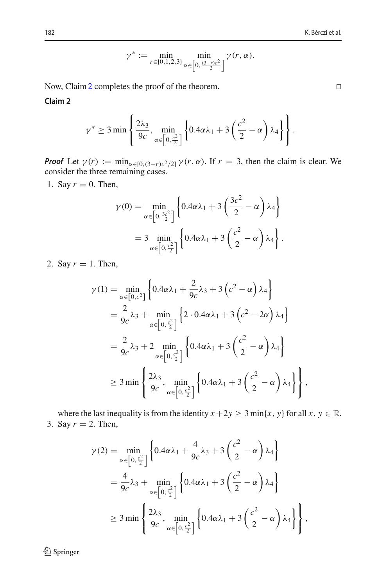$$
\gamma^* := \min_{r \in \{0, 1, 2, 3\}} \min_{\alpha \in \left[0, \frac{(3-r)c^2}{2}\right]} \gamma(r, \alpha).
$$

<span id="page-11-0"></span>Now, Claim [2](#page-11-0) completes the proof of the theorem. □

**Claim 2**

$$
\gamma^* \ge 3 \min \left\{ \frac{2\lambda_3}{9c}, \min_{\alpha \in \left[0, \frac{c^2}{2}\right]} \left\{ 0.4\alpha \lambda_1 + 3\left(\frac{c^2}{2} - \alpha\right) \lambda_4 \right\} \right\}.
$$

*Proof* Let  $\gamma(r) := \min_{\alpha \in [0, (3-r)c^2/2]} \gamma(r, \alpha)$ . If  $r = 3$ , then the claim is clear. We consider the three remaining cases.

1. Say  $r = 0$ . Then,

$$
\gamma(0) = \min_{\alpha \in \left[0, \frac{3c^2}{2}\right]} \left\{ 0.4\alpha \lambda_1 + 3\left(\frac{3c^2}{2} - \alpha\right) \lambda_4 \right\}
$$

$$
= 3 \min_{\alpha \in \left[0, \frac{c^2}{2}\right]} \left\{ 0.4\alpha \lambda_1 + 3\left(\frac{c^2}{2} - \alpha\right) \lambda_4 \right\}.
$$

2. Say  $r = 1$ . Then,

$$
\gamma(1) = \min_{\alpha \in [0,c^2]} \left\{ 0.4\alpha\lambda_1 + \frac{2}{9c}\lambda_3 + 3(c^2 - \alpha)\lambda_4 \right\}
$$
  
\n
$$
= \frac{2}{9c}\lambda_3 + \min_{\alpha \in [0,\frac{c^2}{2}]} \left\{ 2 \cdot 0.4\alpha\lambda_1 + 3(c^2 - 2\alpha)\lambda_4 \right\}
$$
  
\n
$$
= \frac{2}{9c}\lambda_3 + 2 \min_{\alpha \in [0,\frac{c^2}{2}]} \left\{ 0.4\alpha\lambda_1 + 3(\frac{c^2}{2} - \alpha)\lambda_4 \right\}
$$
  
\n
$$
\geq 3 \min \left\{ \frac{2\lambda_3}{9c}, \min_{\alpha \in [0,\frac{c^2}{2}]} \left\{ 0.4\alpha\lambda_1 + 3(\frac{c^2}{2} - \alpha)\lambda_4 \right\} \right\},
$$

where the last inequality is from the identity  $x + 2y \ge 3$  min{*x*, *y*} for all *x*,  $y \in \mathbb{R}$ . 3. Say  $r = 2$ . Then,

$$
\gamma(2) = \min_{\alpha \in \left[0, \frac{c^2}{2}\right]} \left\{ 0.4\alpha \lambda_1 + \frac{4}{9c} \lambda_3 + 3\left(\frac{c^2}{2} - \alpha\right) \lambda_4 \right\}
$$
  
=  $\frac{4}{9c} \lambda_3 + \min_{\alpha \in \left[0, \frac{c^2}{2}\right]} \left\{ 0.4\alpha \lambda_1 + 3\left(\frac{c^2}{2} - \alpha\right) \lambda_4 \right\}$   
 $\geq 3 \min \left\{ \frac{2\lambda_3}{9c}, \min_{\alpha \in \left[0, \frac{c^2}{2}\right]} \left\{ 0.4\alpha \lambda_1 + 3\left(\frac{c^2}{2} - \alpha\right) \lambda_4 \right\} \right\},$ 

<sup>2</sup> Springer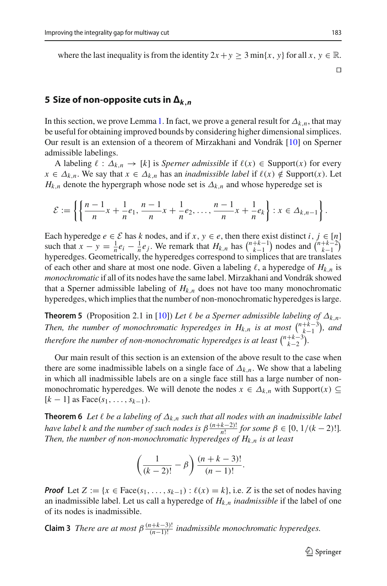where the last inequality is from the identity  $2x + y \ge 3 \min\{x, y\}$  for all  $x, y \in \mathbb{R}$ .

 $\Box$ 

# <span id="page-12-1"></span>**5 Size of non-opposite cuts in**  $\Delta_{k,n}$

In this section, we prove Lemma [1.](#page-8-1) In fact, we prove a general result for  $\Delta_{k,n}$ , that may be useful for obtaining improved bounds by considering higher dimensional simplices. Our result is an extension of a theorem of Mirzakhani and Vondrák [\[10](#page-22-10)] on Sperner admissible labelings.

A labeling  $\ell : \Delta_{k,n} \to [k]$  is *Sperner admissible* if  $\ell(x) \in \text{Support}(x)$  for every  $x \in \Delta_{k,n}$ . We say that  $x \in \Delta_{k,n}$  has an *inadmissible label* if  $\ell(x) \notin \text{Support}(x)$ . Let  $H_{k,n}$  denote the hypergraph whose node set is  $\Delta_{k,n}$  and whose hyperedge set is

$$
\mathcal{E} := \left\{ \left\{ \frac{n-1}{n} x + \frac{1}{n} e_1, \frac{n-1}{n} x + \frac{1}{n} e_2, \ldots, \frac{n-1}{n} x + \frac{1}{n} e_k \right\} : x \in \Delta_{k,n-1} \right\}.
$$

Each hyperedge  $e \in \mathcal{E}$  has  $k$  nodes, and if  $x, y \in e$ , then there exist distinct  $i, j \in [n]$ such that  $x - y = \frac{1}{n} e_i - \frac{1}{n} e_j$ . We remark that  $H_{k,n}$  has  $\binom{n+k-1}{k-1}$  nodes and  $\binom{n+k-2}{k-1}$ hyperedges. Geometrically, the hyperedges correspond to simplices that are translates of each other and share at most one node. Given a labeling  $\ell$ , a hyperedge of  $H_{k,n}$  is *monochromatic* if all of its nodes have the same label. Mirzakhani and Vondrák showed that a Sperner admissible labeling of  $H_{k,n}$  does not have too many monochromatic hyperedges, which implies that the number of non-monochromatic hyperedges is large.

<span id="page-12-2"></span>**Theorem 5** (Proposition 2.1 in [\[10](#page-22-10)]) Let  $\ell$  be a Sperner admissible labeling of  $\Delta_{k,n}$ . *Then, the number of monochromatic hyperedges in*  $H_{k,n}$  *<i>is at most*  $\binom{n+k-3}{k-1}$ , and *therefore the number of non-monochromatic hyperedges is at least*  $\binom{n+k-3}{k-2}$ .

Our main result of this section is an extension of the above result to the case when there are some inadmissible labels on a single face of  $\Delta_{k,n}$ . We show that a labeling in which all inadmissible labels are on a single face still has a large number of nonmonochromatic hyperedges. We will denote the nodes  $x \in \Delta_{k,n}$  with Support( $x$ ) ⊆ [*k* − 1] as Face(*s*1,...,*sk*−1).

<span id="page-12-0"></span>**Theorem 6** *Let*  $\ell$  *be a labeling of*  $\Delta_{k,n}$  *such that all nodes with an inadmissible label have label k and the number of such nodes is*  $\beta \frac{(n+k-2)!}{n!}$  *for some*  $\beta \in [0, 1/(k-2)!]$ *. Then, the number of non-monochromatic hyperedges of Hk*,*<sup>n</sup> is at least*

$$
\left(\frac{1}{(k-2)!} - \beta\right) \frac{(n+k-3)!}{(n-1)!}.
$$

*Proof* Let  $Z := \{x \in \text{Face}(s_1, \ldots, s_{k-1}) : \ell(x) = k\}$ , i.e. *Z* is the set of nodes having an inadmissible label. Let us call a hyperedge of *Hk*,*<sup>n</sup> inadmissible* if the label of one of its nodes is inadmissible.

**Claim 3** *There are at most*  $\beta \frac{(n+k-3)!}{(n-1)!}$  *inadmissible monochromatic hyperedges.*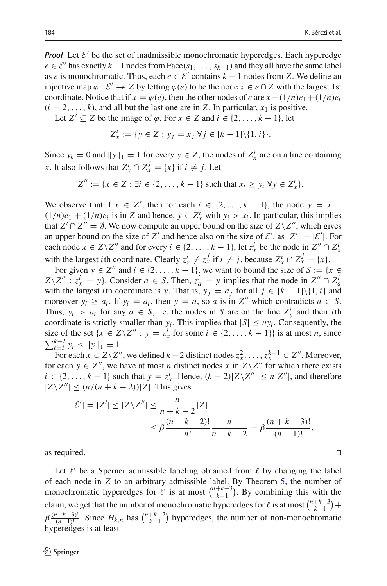*Proof* Let  $\mathcal{E}'$  be the set of inadmissible monochromatic hyperedges. Each hyperedge  $e \in \mathcal{E}'$  has exactly  $k-1$  nodes from Face( $s_1, \ldots, s_{k-1}$ ) and they all have the same label as *e* is monochromatic. Thus, each  $e \in \mathcal{E}'$  contains  $k - 1$  nodes from Z. We define an injective map  $\varphi : \mathcal{E}' \to Z$  by letting  $\varphi(e)$  to be the node  $x \in e \cap Z$  with the largest 1st coordinate. Notice that if  $x = \varphi(e)$ , then the other nodes of *e* are  $x - (1/n)e_1 + (1/n)e_i$  $(i = 2, \ldots, k)$ , and all but the last one are in *Z*. In particular,  $x_1$  is positive.

Let *Z'* ⊆ *Z* be the image of  $\varphi$ . For  $x \in Z$  and  $i \in \{2, ..., k - 1\}$ , let

$$
Z_x^i := \{ y \in Z : y_j = x_j \,\forall j \in [k-1] \setminus \{1, i\} \}.
$$

Since  $y_k = 0$  and  $||y||_1 = 1$  for every  $y \in Z$ , the nodes of  $Z^i_x$  are on a line containing *x*. It also follows that  $Z_x^i \cap Z_x^j = \{x\}$  if  $i \neq j$ . Let

$$
Z'' := \{x \in Z : \exists i \in \{2, \dots, k-1\} \text{ such that } x_i \geq y_i \,\forall y \in Z_x^i\}.
$$

We observe that if  $x \in \mathbb{Z}'$ , then for each  $i \in \{2, ..., k-1\}$ , the node  $y = x (1/n)e_1 + (1/n)e_i$  is in *Z* and hence,  $y \in Z^i_x$  with  $y_i > x_i$ . In particular, this implies that  $Z' \cap Z'' = \emptyset$ . We now compute an upper bound on the size of  $Z\backslash Z''$ , which gives an upper bound on the size of *Z'* and hence also on the size of *E'*, as  $|Z'| = |\mathcal{E}'|$ . For each node  $x \in Z \setminus Z''$  and for every  $i \in \{2, ..., k-1\}$ , let  $z_x^i$  be the node in  $Z'' \cap Z_x^i$ with the largest *i*th coordinate. Clearly  $z_x^i \neq z_x^j$  if  $i \neq j$ , because  $Z_x^i \cap Z_x^j = \{x\}$ .

For given  $y \in Z''$  and  $i \in \{2, ..., k - 1\}$ , we want to bound the size of  $S := \{x \in Z''\}$  $Z \setminus Z''$  :  $z_x^i = y$ . Consider  $a \in S$ . Then,  $z_a^i = y$  implies that the node in  $Z'' \cap Z_a^i$ with the largest *i*th coordinate is *y*. That is,  $y_i = a_i$  for all  $j \in [k-1]\setminus\{1, i\}$  and moreover  $y_i \ge a_i$ . If  $y_i = a_i$ , then  $y = a$ , so *a* is in  $Z''$  which contradicts  $a \in S$ . Thus,  $y_i > a_i$  for any  $a \in S$ , i.e. the nodes in *S* are on the line  $Z_y^i$  and their *i*th coordinate is strictly smaller than  $y_i$ . This implies that  $|S| \leq ny_i$ . Consequently, the size of the set  $\{x \in Z \setminus Z'' : y = z_x^i \text{ for some } i \in \{2, ..., k-1\}\}\$  is at most *n*, since  $\sum_{i=2}^{k-2} y_i \le ||y||_1 = 1.$ 

For each  $x \in Z \setminus Z''$ , we defined  $k-2$  distinct nodes  $z_x^2, \ldots, z_x^{k-1} \in Z''$ . Moreover, for each  $y \in Z''$ , we have at most *n* distinct nodes *x* in  $Z\Z'$  for which there exists *i* ∈ {2, ..., *k* − 1} such that *y* = *z*<sup>*i*</sup><sub>*x*</sub>. Hence,  $(k - 2)|Z\angle Z''| ≤ n|Z''|$ , and therefore  $|Z\angle Z''|$  ≤  $(n/(n+k-2))|Z|$ . This gives

$$
|\mathcal{E}'| = |Z'| \le |Z \setminus Z''| \le \frac{n}{n+k-2} |Z|
$$
  
 
$$
\le \beta \frac{(n+k-2)!}{n!} \frac{n}{n+k-2} = \beta \frac{(n+k-3)!}{(n-1)!},
$$

as required.  $\Box$ 

Let  $\ell'$  be a Sperner admissible labeling obtained from  $\ell$  by changing the label of each node in *Z* to an arbitrary admissible label. By Theorem [5,](#page-12-2) the number of monochromatic hyperedges for  $\ell'$  is at most  $\binom{n+k-3}{k-1}$ . By combining this with the claim, we get that the number of monochromatic hyperedges for  $\ell$  is at most  $\binom{n+k-3}{k-1}$  +  $\beta \frac{(n+k-3)!}{(n-1)!}$ . Since  $H_{k,n}$  has  $\binom{n+k-2}{k-1}$  hyperedges, the number of non-monochromatic hyperedges is at least

$$
\Box
$$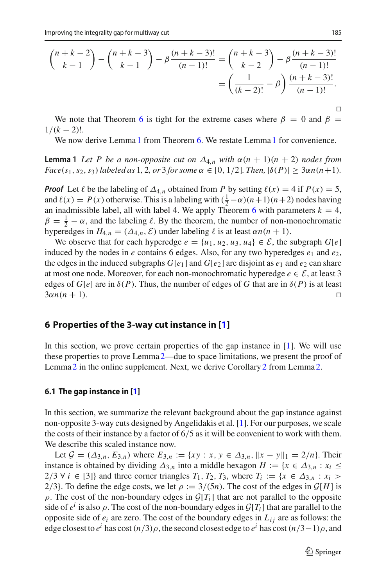$$
\binom{n+k-2}{k-1} - \binom{n+k-3}{k-1} - \beta \frac{(n+k-3)!}{(n-1)!} = \binom{n+k-3}{k-2} - \beta \frac{(n+k-3)!}{(n-1)!}
$$

$$
= \left(\frac{1}{(k-2)!} - \beta\right) \frac{(n+k-3)!}{(n-1)!}.
$$

We note that Theorem [6](#page-12-0) is tight for the extreme cases where  $\beta = 0$  and  $\beta = 0$  $1/(k-2)!$ .

We now derive Lemma [1](#page-8-1) from Theorem [6.](#page-12-0) We restate Lemma 1 for convenience.

**Lemma 1** Let P be a non-opposite cut on  $\Delta_{4,n}$  with  $\alpha(n + 1)(n + 2)$  nodes from *Face*(*s*<sub>1</sub>, *s*<sub>2</sub>, *s*<sub>3</sub>) *labeled as* 1, 2, *or* 3 *for some*  $\alpha \in [0, 1/2]$ *. Then,*  $|\delta(P)| \geq 3\alpha n(n+1)$ *.* 

*Proof* Let  $\ell$  be the labeling of  $\Delta_{4,n}$  obtained from *P* by setting  $\ell(x) = 4$  if  $P(x) = 5$ , and  $\ell(x) = P(x)$  otherwise. This is a labeling with  $(\frac{1}{2} - \alpha)(n+1)(n+2)$  nodes having an inadmissible label, all with label 4. We apply Theorem [6](#page-12-0) with parameters  $k = 4$ ,  $\beta = \frac{1}{2} - \alpha$ , and the labeling  $\ell$ . By the theorem, the number of non-monochromatic hyperedges in  $H_{4,n} = (\Delta_{4,n}, \mathcal{E})$  under labeling  $\ell$  is at least  $\alpha n(n + 1)$ .

We observe that for each hyperedge  $e = \{u_1, u_2, u_3, u_4\} \in \mathcal{E}$ , the subgraph  $G[e]$ induced by the nodes in *e* contains 6 edges. Also, for any two hyperedges  $e_1$  and  $e_2$ , the edges in the induced subgraphs  $G[e_1]$  and  $G[e_2]$  are disjoint as  $e_1$  and  $e_2$  can share at most one node. Moreover, for each non-monochromatic hyperedge  $e \in \mathcal{E}$ , at least 3 edges of *G*[*e*] are in  $\delta$ (*P*). Thus, the number of edges of *G* that are in  $\delta$ (*P*) is at least  $3\alpha n(n + 1)$ .  $3\alpha n(n+1)$ .

#### <span id="page-14-0"></span>**6 Properties of the 3-way cut instance in [\[1\]](#page-22-9)**

In this section, we prove certain properties of the gap instance in [\[1](#page-22-9)]. We will use these properties to prove Lemma [2—](#page-8-0)due to space limitations, we present the proof of Lemma [2](#page-9-0) in the online supplement. Next, we derive Corollary 2 from Lemma [2.](#page-8-0)

#### **6.1 The gap instance in [\[1](#page-22-9)]**

In this section, we summarize the relevant background about the gap instance against non-opposite 3-way cuts designed by Angelidakis et al. [\[1\]](#page-22-9). For our purposes, we scale the costs of their instance by a factor of  $6/5$  as it will be convenient to work with them. We describe this scaled instance now.

Let  $\mathcal{G} = (\Delta_{3,n}, E_{3,n})$  where  $E_{3,n} := \{ xy : x, y \in \Delta_{3,n}, ||x - y||_1 = 2/n \}$ . Their instance is obtained by dividing  $\Delta_{3,n}$  into a middle hexagon  $H := \{x \in \Delta_{3,n} : x_i \leq$ 2/3 ∀ *i* ∈ [3]} and three corner triangles  $T_1, T_2, T_3$ , where  $T_i := \{x \in \Delta_{3,n} : x_i >$ 2/3}. To define the edge costs, we let  $\rho := 3/(5n)$ . The cost of the edges in  $\mathcal{G}[H]$  is  $\rho$ . The cost of the non-boundary edges in  $\mathcal{G}[T_i]$  that are not parallel to the opposite side of  $e^i$  is also  $\rho$ . The cost of the non-boundary edges in  $\mathcal{G}[T_i]$  that are parallel to the opposite side of  $e_i$  are zero. The cost of the boundary edges in  $L_{ij}$  are as follows: the edge closest to  $e^{i}$  has cost  $(n/3)\rho$ , the second closest edge to  $e^{i}$  has cost  $(n/3-1)\rho$ , and

 $\Box$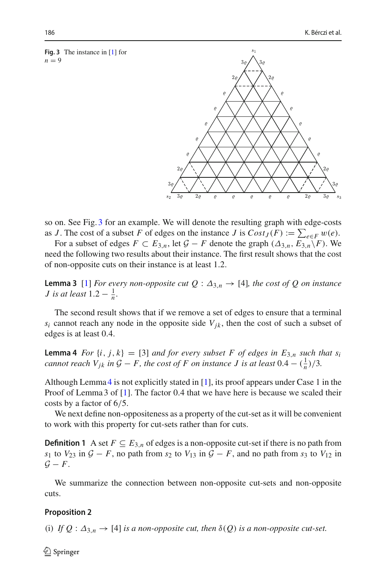<span id="page-15-0"></span>**Fig. 3** The instance in [\[1](#page-22-9)] for  $n = 9$ 



so on. See Fig. [3](#page-15-0) for an example. We will denote the resulting graph with edge-costs as *J*. The cost of a subset *F* of edges on the instance *J* is  $Cost_J(F) := \sum_{e \in F} w(e)$ .

For a subset of edges  $F \subset E_{3,n}$ , let  $\mathcal{G} - F$  denote the graph  $(\Delta_{3,n}, E_{3,n}\backslash F)$ . We need the following two results about their instance. The first result shows that the cost of non-opposite cuts on their instance is at least 1.2.

<span id="page-15-2"></span>**Lemma 3** [\[1\]](#page-22-9) *For every non-opposite cut Q* :  $\Delta_{3,n} \rightarrow$  [4]*, the cost of Q on instance J* is at least  $1.2 - \frac{1}{n}$ .

The second result shows that if we remove a set of edges to ensure that a terminal  $s_i$  cannot reach any node in the opposite side  $V_{jk}$ , then the cost of such a subset of edges is at least 0.4.

<span id="page-15-1"></span>**Lemma 4** *For*  $\{i, j, k\} = [3]$  *and for every subset F of edges in E<sub>3,<i>n*</sub> *such that s<sub>i</sub> cannot reach*  $V_{jk}$  *in*  $G - F$ *, the cost of*  $F$  *on instance*  $J$  *is at least*  $0.4 - (\frac{1}{n})/3$ *.* 

Although Lemma [4](#page-15-1) is not explicitly stated in [\[1](#page-22-9)], its proof appears under Case 1 in the Proof of Lemma 3 of [\[1\]](#page-22-9). The factor 0.4 that we have here is because we scaled their costs by a factor of 6/5.

We next define non-oppositeness as a property of the cut-set as it will be convenient to work with this property for cut-sets rather than for cuts.

**Definition 1** A set  $F \subseteq E_{3,n}$  of edges is a non-opposite cut-set if there is no path from *s*<sub>1</sub> to *V*<sub>23</sub> in  $G - F$ , no path from *s*<sub>2</sub> to *V*<sub>13</sub> in  $G - F$ , and no path from *s*<sub>3</sub> to *V*<sub>12</sub> in  $G - F$ .

We summarize the connection between non-opposite cut-sets and non-opposite cuts.

### **Proposition 2**

(i) *If*  $Q : \Delta_{3,n} \to [4]$  *is a non-opposite cut, then*  $\delta(Q)$  *is a non-opposite cut-set.*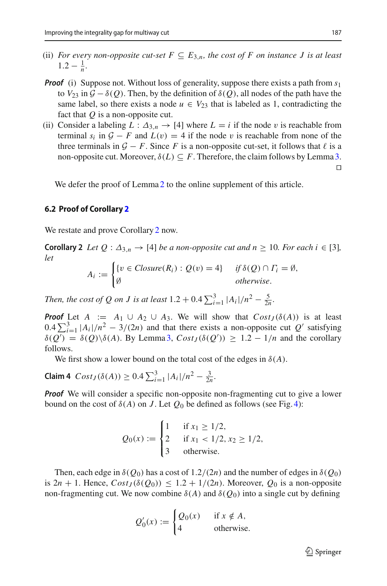- (ii) *For every non-opposite cut-set*  $F \subseteq E_{3,n}$ *, the cost of F on instance J* is at least  $1.2 - \frac{1}{n}$ .
- *Proof* (i) Suppose not. Without loss of generality, suppose there exists a path from  $s_1$ to  $V_{23}$  in  $\mathcal{G} - \delta(Q)$ . Then, by the definition of  $\delta(Q)$ , all nodes of the path have the same label, so there exists a node  $u \in V_{23}$  that is labeled as 1, contradicting the fact that *Q* is a non-opposite cut.
- (ii) Consider a labeling  $L : \Delta_{3,n} \to [4]$  where  $L = i$  if the node v is reachable from terminal  $s_i$  in  $G - F$  and  $L(v) = 4$  if the node v is reachable from none of the three terminals in  $G - F$ . Since F is a non-opposite cut-set, it follows that  $\ell$  is a non-opposite cut. Moreover,  $\delta(L) \subseteq F$ . Therefore, the claim follows by Lemma [3.](#page-15-2)  $\Box$

We defer the proof of Lemma [2](#page-8-0) to the online supplement of this article.

#### **6.2 Proof of Corollary [2](#page-9-0)**

We restate and prove Corollary [2](#page-9-0) now.

**Corollary 2** *Let*  $Q: \Delta_{3,n} \to [4]$  *be a non-opposite cut and n*  $\geq 10$ *. For each i*  $\in [3]$ *, let*

$$
A_i := \begin{cases} \{v \in Closure(R_i) : Q(v) = 4\} & \text{if } \delta(Q) \cap \Gamma_i = \emptyset, \\ \emptyset & \text{otherwise.} \end{cases}
$$

*Then, the cost of Q on J is at least*  $1.2 + 0.4 \sum_{i=1}^{3} |A_i|/n^2 - \frac{5}{2n}$ .

*Proof* Let  $A := A_1 \cup A_2 \cup A_3$ . We will show that  $Cost_J(\delta(A))$  is at least  $0.4 \sum_{i=1}^{3} |A_i|/n^2 - 3/(2n)$  and that there exists a non-opposite cut *Q'* satisfying  $\delta(Q') = \delta(Q) \backslash \delta(A)$ . By Lemma [3,](#page-15-2)  $Cost_J(\delta(Q')) \geq 1.2 - 1/n$  and the corollary follows.

We first show a lower bound on the total cost of the edges in  $\delta(A)$ .

<span id="page-16-0"></span>**Claim 4**  $Cost_J(\delta(A)) \geq 0.4 \sum_{i=1}^{3} |A_i|/n^2 - \frac{3}{2n}$ .

*Proof* We will consider a specific non-opposite non-fragmenting cut to give a lower bound on the cost of  $\delta(A)$  on *J*. Let  $Q_0$  be defined as follows (see Fig. [4\)](#page-17-0):

$$
Q_0(x) := \begin{cases} 1 & \text{if } x_1 \ge 1/2, \\ 2 & \text{if } x_1 < 1/2, x_2 \ge 1/2, \\ 3 & \text{otherwise.} \end{cases}
$$

Then, each edge in  $\delta(Q_0)$  has a cost of 1.2/(2*n*) and the number of edges in  $\delta(Q_0)$ is  $2n + 1$ . Hence,  $Cost_J(\delta(Q_0)) \leq 1.2 + 1/(2n)$ . Moreover,  $Q_0$  is a non-opposite non-fragmenting cut. We now combine  $\delta(A)$  and  $\delta(Q_0)$  into a single cut by defining

$$
Q'_0(x) := \begin{cases} Q_0(x) & \text{if } x \notin A, \\ 4 & \text{otherwise.} \end{cases}
$$

 $\mathcal{L}$  Springer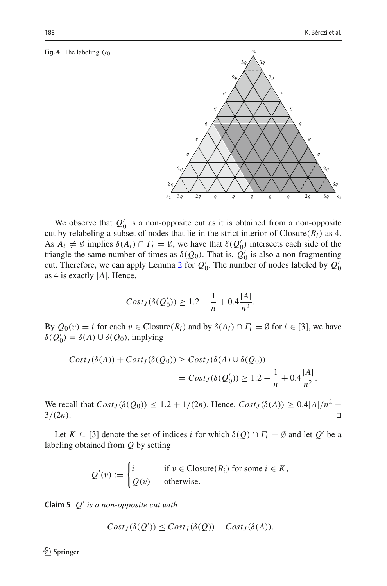#### <span id="page-17-0"></span>**Fig. 4** The labeling *Q*0

 $\mathcal{O}$  $\rho$  $2\rho$  $3<sub>o</sub>$ We observe that  $Q'_0$  is a non-opposite cut as it is obtained from a non-opposite cut by relabeling a subset of nodes that lie in the strict interior of  $\text{Closure}(R_i)$  as 4.

 $s_1$ 

As  $A_i \neq \emptyset$  implies  $\delta(A_i) \cap \Gamma_i = \emptyset$ , we have that  $\delta(Q'_0)$  intersects each side of the triangle the same number of times as  $\delta(Q_0)$ . That is,  $Q'_0$  is also a non-fragmenting cut. Therefore, we can apply Lemma [2](#page-8-0) for  $Q'_0$ . The number of nodes labeled by  $Q'_0$ as 4 is exactly |*A*|. Hence,

$$
Cost_J(\delta(Q'_0)) \ge 1.2 - \frac{1}{n} + 0.4 \frac{|A|}{n^2}.
$$

By  $Q_0(v) = i$  for each  $v \in \text{Closure}(R_i)$  and by  $\delta(A_i) \cap \Gamma_i = \emptyset$  for  $i \in [3]$ , we have  $\delta(Q'_0) = \delta(A) \cup \delta(Q_0)$ , implying

$$
Cost_J(\delta(A)) + Cost_J(\delta(Q_0)) \ge Cost_J(\delta(A) \cup \delta(Q_0))
$$
  
=  $Cost_J(\delta(Q'_0)) \ge 1.2 - \frac{1}{n} + 0.4\frac{|A|}{n^2}.$ 

We recall that  $Cost_J(\delta(Q_0)) \le 1.2 + 1/(2n)$ . Hence,  $Cost_J(\delta(A)) \ge 0.4|A|/n^2 - 3/(2n)$ .  $3/(2n)$ .

Let  $K \subseteq [3]$  denote the set of indices *i* for which  $\delta(Q) \cap \Gamma_i = \emptyset$  and let  $Q'$  be a labeling obtained from *Q* by setting

$$
Q'(v) := \begin{cases} i & \text{if } v \in \text{Closure}(R_i) \text{ for some } i \in K, \\ Q(v) & \text{otherwise.} \end{cases}
$$

<span id="page-17-1"></span>**Claim 5** *Q is a non-opposite cut with*

$$
Cost_J(\delta(Q')) \le Cost_J(\delta(Q)) - Cost_J(\delta(A)).
$$

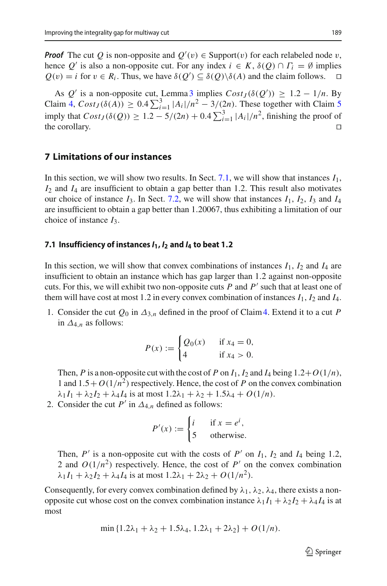*Proof* The cut *Q* is non-opposite and  $Q'(v) \in \text{Support}(v)$  for each relabeled node v, hence *Q'* is also a non-opposite cut. For any index  $i \in K$ ,  $\delta(Q) \cap \Gamma_i = \emptyset$  implies  $O(v) = i$  for  $v \in R_i$ . Thus, we have  $\delta(O') \subseteq \delta(O) \setminus \delta(A)$  and the claim follows.  $\Box$  $Q(v) = i$  for  $v \in R_i$ . Thus, we have  $\delta(Q') \subseteq \delta(Q) \backslash \delta(A)$  and the claim follows.  $\Box$ 

As  $Q'$  is a non-opposite cut, Lemma [3](#page-15-2) implies  $Cost_J(\delta(Q')) \geq 1.2 - 1/n$ . By  $\text{Claim 4, } Cost_J(\delta(A)) \geq 0.4 \sum_{i=1}^3 |A_i|/n^2 - 3/(2n).$  $\text{Claim 4, } Cost_J(\delta(A)) \geq 0.4 \sum_{i=1}^3 |A_i|/n^2 - 3/(2n).$  $\text{Claim 4, } Cost_J(\delta(A)) \geq 0.4 \sum_{i=1}^3 |A_i|/n^2 - 3/(2n).$  These together with Claim [5](#page-17-1) imply that  $Cost_J(\delta(Q)) \geq 1.2 - 5/(2n) + 0.4 \sum_{i=1}^{3} |A_i|/n^2$ , finishing the proof of the corollary.  $\square$ 

# **7 Limitations of our instances**

In this section, we will show two results. In Sect. [7.1,](#page-18-0) we will show that instances  $I_1$ , *I*<sup>2</sup> and *I*<sup>4</sup> are insufficient to obtain a gap better than 1.2. This result also motivates our choice of instance  $I_3$ . In Sect. [7.2,](#page-19-0) we will show that instances  $I_1$ ,  $I_2$ ,  $I_3$  and  $I_4$ are insufficient to obtain a gap better than 1.20067, thus exhibiting a limitation of our choice of instance *I*3.

### <span id="page-18-0"></span>**7.1 Insufficiency of instances** *I***1,** *I***<sup>2</sup> and** *I***<sup>4</sup> to beat 1***.***2**

In this section, we will show that convex combinations of instances  $I_1$ ,  $I_2$  and  $I_4$  are insufficient to obtain an instance which has gap larger than 1.2 against non-opposite cuts. For this, we will exhibit two non-opposite cuts *P* and *P* such that at least one of them will have cost at most 1.2 in every convex combination of instances  $I_1$ ,  $I_2$  and  $I_4$ .

1. Consider the cut  $Q_0$  in  $\Delta_{3,n}$  defined in the proof of Claim [4.](#page-16-0) Extend it to a cut *P* in  $\Delta_{4,n}$  as follows:

$$
P(x) := \begin{cases} Q_0(x) & \text{if } x_4 = 0, \\ 4 & \text{if } x_4 > 0. \end{cases}
$$

Then, *P* is a non-opposite cut with the cost of *P* on  $I_1$ ,  $I_2$  and  $I_4$  being  $1.2+O(1/n)$ , 1 and  $1.5 + O(1/n^2)$  respectively. Hence, the cost of *P* on the convex combination  $\lambda_1 I_1 + \lambda_2 I_2 + \lambda_4 I_4$  is at most  $1.2\lambda_1 + \lambda_2 + 1.5\lambda_4 + O(1/n)$ .

2. Consider the cut  $P'$  in  $\Delta_{4,n}$  defined as follows:

$$
P'(x) := \begin{cases} i & \text{if } x = e^i, \\ 5 & \text{otherwise.} \end{cases}
$$

Then,  $P'$  is a non-opposite cut with the costs of  $P'$  on  $I_1$ ,  $I_2$  and  $I_4$  being 1.2, 2 and  $O(1/n^2)$  respectively. Hence, the cost of  $P'$  on the convex combination  $\lambda_1 I_1 + \lambda_2 I_2 + \lambda_4 I_4$  is at most  $1.2\lambda_1 + 2\lambda_2 + O(1/n^2)$ .

Consequently, for every convex combination defined by  $\lambda_1$ ,  $\lambda_2$ ,  $\lambda_4$ , there exists a nonopposite cut whose cost on the convex combination instance  $\lambda_1 I_1 + \lambda_2 I_2 + \lambda_4 I_4$  is at most

$$
\min\{1.2\lambda_1 + \lambda_2 + 1.5\lambda_4, 1.2\lambda_1 + 2\lambda_2\} + O(1/n).
$$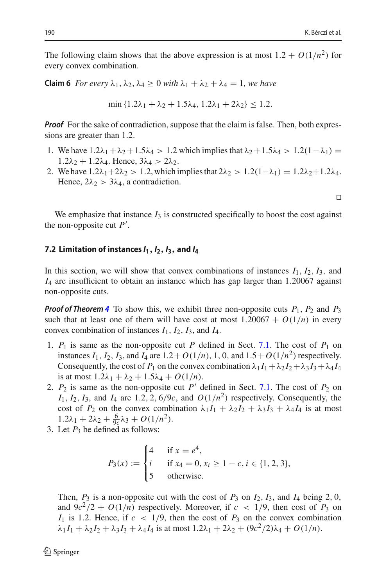The following claim shows that the above expression is at most  $1.2 + O(1/n^2)$  for every convex combination.

**Claim 6** *For every*  $\lambda_1, \lambda_2, \lambda_4 > 0$  *with*  $\lambda_1 + \lambda_2 + \lambda_4 = 1$ *, we have* 

$$
\min\{1.2\lambda_1 + \lambda_2 + 1.5\lambda_4, 1.2\lambda_1 + 2\lambda_2\} \le 1.2.
$$

*Proof* For the sake of contradiction, suppose that the claim is false. Then, both expressions are greater than 1.2.

- 1. We have  $1.2\lambda_1 + \lambda_2 + 1.5\lambda_4 > 1.2$  which implies that  $\lambda_2 + 1.5\lambda_4 > 1.2(1-\lambda_1) =$  $1.2\lambda_2 + 1.2\lambda_4$ . Hence,  $3\lambda_4 > 2\lambda_2$ .
- 2. We have  $1.2\lambda_1+2\lambda_2 > 1.2$ , which implies that  $2\lambda_2 > 1.2(1-\lambda_1) = 1.2\lambda_2+1.2\lambda_4$ . Hence,  $2\lambda_2 > 3\lambda_4$ , a contradiction.

 $\Box$ 

We emphasize that instance  $I_3$  is constructed specifically to boost the cost against the non-opposite cut *P* .

#### <span id="page-19-0"></span>7.2 Limitation of instances  $I_1$ ,  $I_2$ ,  $I_3$ , and  $I_4$

In this section, we will show that convex combinations of instances  $I_1$ ,  $I_2$ ,  $I_3$ , and *I*<sup>4</sup> are insufficient to obtain an instance which has gap larger than 1.20067 against non-opposite cuts.

*Proof of Theorem* [4](#page-8-3) To show this, we exhibit three non-opposite cuts  $P_1$ ,  $P_2$  and  $P_3$ such that at least one of them will have cost at most  $1.20067 + O(1/n)$  in every convex combination of instances  $I_1$ ,  $I_2$ ,  $I_3$ , and  $I_4$ .

- 1.  $P_1$  is same as the non-opposite cut  $P$  defined in Sect. [7.1.](#page-18-0) The cost of  $P_1$  on instances  $I_1$ ,  $I_2$ ,  $I_3$ , and  $I_4$  are  $1.2 + O(1/n)$ , 1, 0, and  $1.5 + O(1/n^2)$  respectively. Consequently, the cost of  $P_1$  on the convex combination  $\lambda_1 I_1 + \lambda_2 I_2 + \lambda_3 I_3 + \lambda_4 I_4$ is at most  $1.2\lambda_1 + \lambda_2 + 1.5\lambda_4 + O(1/n)$ .
- 2.  $P_2$  is same as the non-opposite cut  $P'$  defined in Sect. [7.1.](#page-18-0) The cost of  $P_2$  on  $I_1$ ,  $I_2$ ,  $I_3$ , and  $I_4$  are 1.2, 2, 6/9*c*, and  $O(1/n^2)$  respectively. Consequently, the cost of  $P_2$  on the convex combination  $\lambda_1 I_1 + \lambda_2 I_2 + \lambda_3 I_3 + \lambda_4 I_4$  is at most  $1.2\lambda_1 + 2\lambda_2 + \frac{6}{9c}\lambda_3 + O(1/n^2).$
- 3. Let  $P_3$  be defined as follows:

$$
P_3(x) := \begin{cases} 4 & \text{if } x = e^4, \\ i & \text{if } x_4 = 0, x_i \ge 1 - c, i \in \{1, 2, 3\}, \\ 5 & \text{otherwise.} \end{cases}
$$

Then,  $P_3$  is a non-opposite cut with the cost of  $P_3$  on  $I_2$ ,  $I_3$ , and  $I_4$  being 2, 0, and  $9c^2/2 + O(1/n)$  respectively. Moreover, if  $c < 1/9$ , then cost of  $P_3$  on  $I_1$  is 1.2. Hence, if  $c < 1/9$ , then the cost of  $P_3$  on the convex combination  $\lambda_1 I_1 + \lambda_2 I_2 + \lambda_3 I_3 + \lambda_4 I_4$  is at most  $1.2\lambda_1 + 2\lambda_2 + (9c^2/2)\lambda_4 + O(1/n)$ .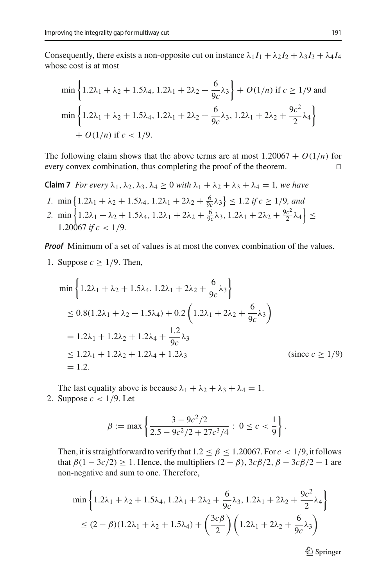Consequently, there exists a non-opposite cut on instance  $\lambda_1 I_1 + \lambda_2 I_2 + \lambda_3 I_3 + \lambda_4 I_4$ whose cost is at most

$$
\min\left\{1.2\lambda_1 + \lambda_2 + 1.5\lambda_4, 1.2\lambda_1 + 2\lambda_2 + \frac{6}{9c}\lambda_3\right\} + O(1/n) \text{ if } c \ge 1/9 \text{ and}
$$
\n
$$
\min\left\{1.2\lambda_1 + \lambda_2 + 1.5\lambda_4, 1.2\lambda_1 + 2\lambda_2 + \frac{6}{9c}\lambda_3, 1.2\lambda_1 + 2\lambda_2 + \frac{9c^2}{2}\lambda_4\right\}
$$
\n
$$
+ O(1/n) \text{ if } c < 1/9.
$$

The following claim shows that the above terms are at most  $1.20067 + O(1/n)$  for every convex combination, thus completing the proof of the theorem. every convex combination, thus completing the proof of the theorem.

**Claim 7** *For every*  $\lambda_1, \lambda_2, \lambda_3, \lambda_4 > 0$  *with*  $\lambda_1 + \lambda_2 + \lambda_3 + \lambda_4 = 1$ *, we have* 

- *1*. min  $\left\{ 1.2\lambda_1 + \lambda_2 + 1.5\lambda_4, 1.2\lambda_1 + 2\lambda_2 + \frac{6}{9c}\lambda_3 \right\} \le 1.2$  *if*  $c \ge 1/9$ *, and*
- 2. min  $\left\{ 1.2\lambda_1 + \lambda_2 + 1.5\lambda_4, 1.2\lambda_1 + 2\lambda_2 + \frac{6}{9c}\lambda_3, 1.2\lambda_1 + 2\lambda_2 + \frac{9c^2}{2}\lambda_4 \right\}$ 1.200<sup> $\frac{1}{67}$  *if*  $c < 1/9$ .</sup>

*Proof* Minimum of a set of values is at most the convex combination of the values.

1. Suppose  $c \geq 1/9$ . Then,

$$
\min\left\{1.2\lambda_1 + \lambda_2 + 1.5\lambda_4, 1.2\lambda_1 + 2\lambda_2 + \frac{6}{9c}\lambda_3\right\}
$$
  
\n
$$
\leq 0.8(1.2\lambda_1 + \lambda_2 + 1.5\lambda_4) + 0.2\left(1.2\lambda_1 + 2\lambda_2 + \frac{6}{9c}\lambda_3\right)
$$
  
\n
$$
= 1.2\lambda_1 + 1.2\lambda_2 + 1.2\lambda_4 + \frac{1.2}{9c}\lambda_3
$$
  
\n
$$
\leq 1.2\lambda_1 + 1.2\lambda_2 + 1.2\lambda_4 + 1.2\lambda_3
$$
 (since  $c \geq 1/9$ )  
\n
$$
= 1.2.
$$

The last equality above is because  $\lambda_1 + \lambda_2 + \lambda_3 + \lambda_4 = 1$ . 2. Suppose  $c < 1/9$ . Let

$$
\beta := \max \left\{ \frac{3 - 9c^2/2}{2.5 - 9c^2/2 + 27c^3/4} : 0 \le c < \frac{1}{9} \right\}.
$$

Then, it is straightforward to verify that  $1.2 \le \beta \le 1.20067$ . For  $c < 1/9$ , it follows that  $\beta(1 - 3c/2) \ge 1$ . Hence, the multipliers  $(2 - \beta)$ ,  $3c\beta/2$ ,  $\beta - 3c\beta/2 - 1$  are non-negative and sum to one. Therefore,

$$
\min\left\{1.2\lambda_1 + \lambda_2 + 1.5\lambda_4, 1.2\lambda_1 + 2\lambda_2 + \frac{6}{9c}\lambda_3, 1.2\lambda_1 + 2\lambda_2 + \frac{9c^2}{2}\lambda_4\right\}
$$
  

$$
\leq (2 - \beta)(1.2\lambda_1 + \lambda_2 + 1.5\lambda_4) + \left(\frac{3c\beta}{2}\right)\left(1.2\lambda_1 + 2\lambda_2 + \frac{6}{9c}\lambda_3\right)
$$

<sup>2</sup> Springer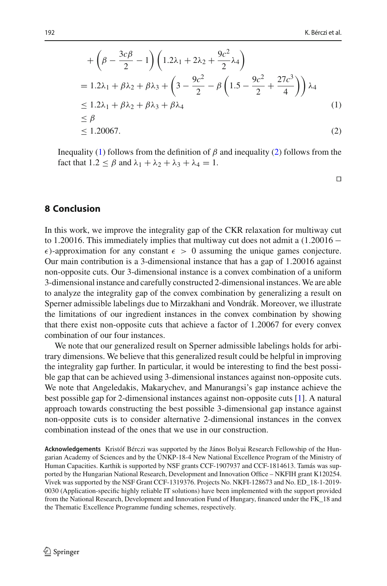$$
+\left(\beta - \frac{3c\beta}{2} - 1\right) \left(1.2\lambda_1 + 2\lambda_2 + \frac{9c^2}{2}\lambda_4\right)
$$
  
= 1.2\lambda\_1 + \beta\lambda\_2 + \beta\lambda\_3 + \left(3 - \frac{9c^2}{2} - \beta\left(1.5 - \frac{9c^2}{2} + \frac{27c^3}{4}\right)\right)\lambda\_4  
 $\leq$  1.2\lambda\_1 + \beta\lambda\_2 + \beta\lambda\_3 + \beta\lambda\_4  
 $\leq \beta$   
 $\leq$  1.20067. (2)

Inequality [\(1\)](#page-21-0) follows from the definition of  $\beta$  and inequality [\(2\)](#page-21-1) follows from the fact that  $1.2 \leq \beta$  and  $\lambda_1 + \lambda_2 + \lambda_3 + \lambda_4 = 1$ .

<span id="page-21-1"></span><span id="page-21-0"></span> $\Box$ 

# **8 Conclusion**

In this work, we improve the integrality gap of the CKR relaxation for multiway cut to 1.20016. This immediately implies that multiway cut does not admit a (1.20016 −  $\epsilon$ )-approximation for any constant  $\epsilon > 0$  assuming the unique games conjecture. Our main contribution is a 3-dimensional instance that has a gap of 1.20016 against non-opposite cuts. Our 3-dimensional instance is a convex combination of a uniform 3-dimensional instance and carefully constructed 2-dimensional instances. We are able to analyze the integrality gap of the convex combination by generalizing a result on Sperner admissible labelings due to Mirzakhani and Vondrák. Moreover, we illustrate the limitations of our ingredient instances in the convex combination by showing that there exist non-opposite cuts that achieve a factor of 1.20067 for every convex combination of our four instances.

We note that our generalized result on Sperner admissible labelings holds for arbitrary dimensions. We believe that this generalized result could be helpful in improving the integrality gap further. In particular, it would be interesting to find the best possible gap that can be achieved using 3-dimensional instances against non-opposite cuts. We note that Angeledakis, Makarychev, and Manurangsi's gap instance achieve the best possible gap for 2-dimensional instances against non-opposite cuts [\[1](#page-22-9)]. A natural approach towards constructing the best possible 3-dimensional gap instance against non-opposite cuts is to consider alternative 2-dimensional instances in the convex combination instead of the ones that we use in our construction.

**Acknowledgements** Kristóf Bérczi was supported by the János Bolyai Research Fellowship of the Hungarian Academy of Sciences and by the ÚNKP-18-4 New National Excellence Program of the Ministry of Human Capacities. Karthik is supported by NSF grants CCF-1907937 and CCF-1814613. Tamás was supported by the Hungarian National Research, Development and Innovation Office – NKFIH grant K120254. Vivek was supported by the NSF Grant CCF-1319376. Projects No. NKFI-128673 and No. ED\_18-1-2019- 0030 (Application-specific highly reliable IT solutions) have been implemented with the support provided from the National Research, Development and Innovation Fund of Hungary, financed under the FK\_18 and the Thematic Excellence Programme funding schemes, respectively.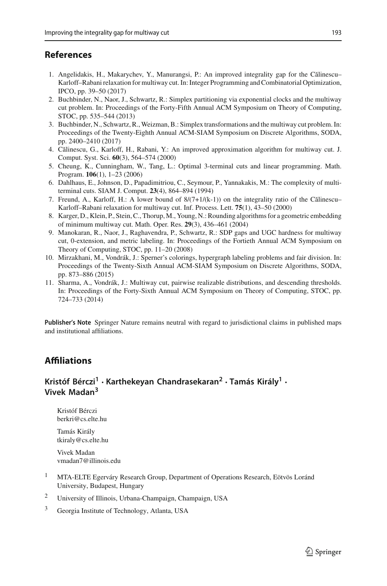### **References**

- <span id="page-22-9"></span>1. Angelidakis, H., Makarychev, Y., Manurangsi, P.: An improved integrality gap for the Călinescu-Karloff–Rabani relaxation for multiway cut. In: Integer Programming and Combinatorial Optimization, IPCO, pp. 39–50 (2017)
- <span id="page-22-4"></span>2. Buchbinder, N., Naor, J., Schwartz, R.: Simplex partitioning via exponential clocks and the multiway cut problem. In: Proceedings of the Forty-Fifth Annual ACM Symposium on Theory of Computing, STOC, pp. 535–544 (2013)
- <span id="page-22-5"></span>3. Buchbinder, N., Schwartz, R.,Weizman, B.: Simplex transformations and the multiway cut problem. In: Proceedings of the Twenty-Eighth Annual ACM-SIAM Symposium on Discrete Algorithms, SODA, pp. 2400–2410 (2017)
- <span id="page-22-1"></span>4. Călinescu, G., Karloff, H., Rabani, Y.: An improved approximation algorithm for multiway cut. J. Comput. Syst. Sci. **60**(3), 564–574 (2000)
- <span id="page-22-2"></span>5. Cheung, K., Cunningham, W., Tang, L.: Optimal 3-terminal cuts and linear programming. Math. Program. **106**(1), 1–23 (2006)
- <span id="page-22-0"></span>6. Dahlhaus, E., Johnson, D., Papadimitriou, C., Seymour, P., Yannakakis, M.: The complexity of multiterminal cuts. SIAM J. Comput. **23**(4), 864–894 (1994)
- <span id="page-22-8"></span>7. Freund, A., Karloff, H.: A lower bound of  $8/(7+1/(k-1))$  on the integrality ratio of the Călinescu– Karloff–Rabani relaxation for multiway cut. Inf. Process. Lett. **75**(1), 43–50 (2000)
- <span id="page-22-3"></span>8. Karger, D., Klein, P., Stein, C., Thorup, M., Young, N.: Rounding algorithms for a geometric embedding of minimum multiway cut. Math. Oper. Res. **29**(3), 436–461 (2004)
- <span id="page-22-7"></span>9. Manokaran, R., Naor, J., Raghavendra, P., Schwartz, R.: SDP gaps and UGC hardness for multiway cut, 0-extension, and metric labeling. In: Proceedings of the Fortieth Annual ACM Symposium on Theory of Computing, STOC, pp. 11–20 (2008)
- <span id="page-22-10"></span>10. Mirzakhani, M., Vondrák, J.: Sperner's colorings, hypergraph labeling problems and fair division. In: Proceedings of the Twenty-Sixth Annual ACM-SIAM Symposium on Discrete Algorithms, SODA, pp. 873–886 (2015)
- <span id="page-22-6"></span>11. Sharma, A., Vondrák, J.: Multiway cut, pairwise realizable distributions, and descending thresholds. In: Proceedings of the Forty-Sixth Annual ACM Symposium on Theory of Computing, STOC, pp. 724–733 (2014)

**Publisher's Note** Springer Nature remains neutral with regard to jurisdictional claims in published maps and institutional affiliations.

# **Affiliations**

# **Kristóf Bérczi<sup>1</sup> · Karthekeyan Chandrasekaran<sup>2</sup> · Tamás Király1 · Vivek Madan3**

Kristóf Bérczi berkri@cs.elte.hu

Tamás Király tkiraly@cs.elte.hu

Vivek Madan vmadan7@illinois.edu

- <sup>1</sup> MTA-ELTE Egerváry Research Group, Department of Operations Research, Eötvös Loránd University, Budapest, Hungary
- <sup>2</sup> University of Illinois, Urbana-Champaign, Champaign, USA
- <sup>3</sup> Georgia Institute of Technology, Atlanta, USA